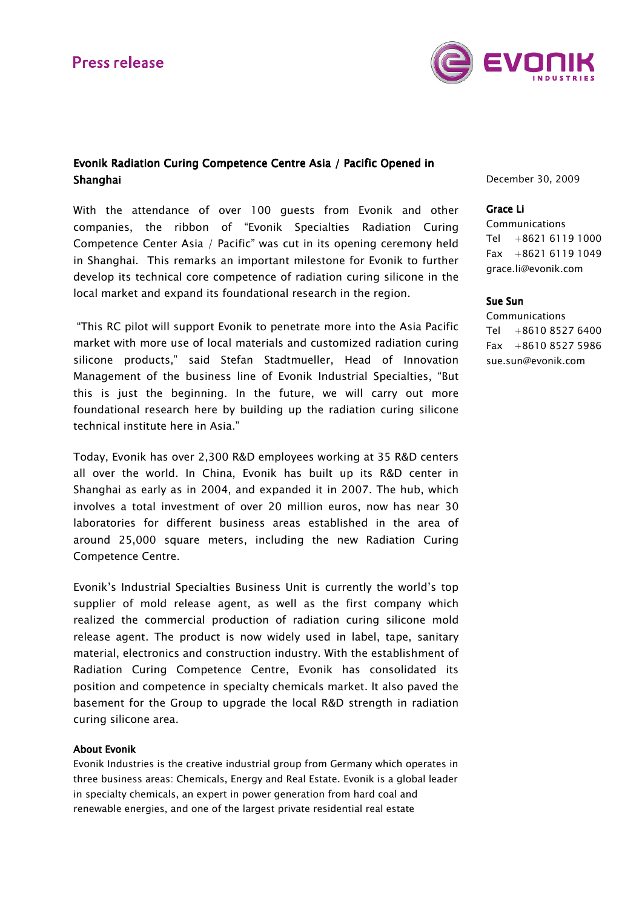# **Press release**



## Evonik Radiation Curing Competence Centre Asia / Pacific Opened in Shanghai

With the attendance of over 100 guests from Evonik and other companies, the ribbon of "Evonik Specialties Radiation Curing Competence Center Asia / Pacific" was cut in its opening ceremony held in Shanghai. This remarks an important milestone for Evonik to further develop its technical core competence of radiation curing silicone in the local market and expand its foundational research in the region.

 "This RC pilot will support Evonik to penetrate more into the Asia Pacific market with more use of local materials and customized radiation curing silicone products," said Stefan Stadtmueller, Head of Innovation Management of the business line of Evonik Industrial Specialties, "But this is just the beginning. In the future, we will carry out more foundational research here by building up the radiation curing silicone technical institute here in Asia."

Today, Evonik has over 2,300 R&D employees working at 35 R&D centers all over the world. In China, Evonik has built up its R&D center in Shanghai as early as in 2004, and expanded it in 2007. The hub, which involves a total investment of over 20 million euros, now has near 30 laboratories for different business areas established in the area of around 25,000 square meters, including the new Radiation Curing Competence Centre.

Evonik's Industrial Specialties Business Unit is currently the world's top supplier of mold release agent, as well as the first company which realized the commercial production of radiation curing silicone mold release agent. The product is now widely used in label, tape, sanitary material, electronics and construction industry. With the establishment of Radiation Curing Competence Centre, Evonik has consolidated its position and competence in specialty chemicals market. It also paved the basement for the Group to upgrade the local R&D strength in radiation curing silicone area.

### **About Evonik**

Evonik Industries is the creative industrial group from Germany which operates in three business areas: Chemicals, Energy and Real Estate. Evonik is a global leader in specialty chemicals, an expert in power generation from hard coal and renewable energies, and one of the largest private residential real estate

December 30, 2009

## Grace Li

Communications Tel +8621 6119 1000 Fax +8621 6119 1049 grace.li@evonik.com

## Sue Sun

**Communications** Tel +8610 8527 6400 Fax  $+861085275986$ sue.sun@evonik.com